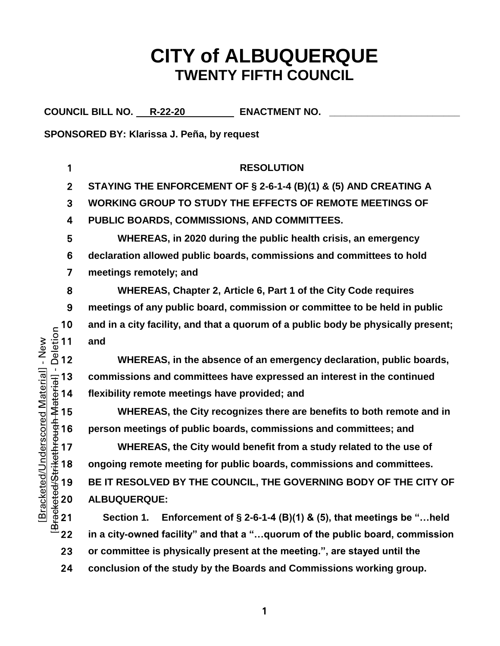# **CITY of ALBUQUERQUE TWENTY FIFTH COUNCIL**

COUNCIL BILL NO. R-22-20 **ENACTMENT NO.** 

**SPONSORED BY: Klarissa J. Peña, by request**

**RESOLUTION STAYING THE ENFORCEMENT OF § 2-6-1-4 (B)(1) & (5) AND CREATING A WORKING GROUP TO STUDY THE EFFECTS OF REMOTE MEETINGS OF PUBLIC BOARDS, COMMISSIONS, AND COMMITTEES. WHEREAS, in 2020 during the public health crisis, an emergency declaration allowed public boards, commissions and committees to hold meetings remotely; and WHEREAS, Chapter 2, Article 6, Part 1 of the City Code requires meetings of any public board, commission or committee to be held in public**  10 and in a city facility, and that a quorum of a public body be physically present;<br>  $\frac{5}{4}$  11 and<br>
2 12 WHEREAS, in the absence of an emergency declaration, public boards, and <sup>2</sup> 12 **WHEREAS, in the absence of an emergency declaration, public boards,<br>
∴ 13 commissions and committees have expressed an interest in the continued<br>**  $\frac{1}{4}$  **14 flexibility remote meetings have provided; and<br> \frac{1}{ commissions and committees have expressed an interest in the continued**  flexibility remote meetings have provided; and **WHEREAS, the City recognizes there are benefits to both remote and in person meetings of public boards, commissions and committees; and**  WHEREAS, the City would benefit from a study related to the use of<br>  $\frac{40}{3}$  18 ongoing remote meeting for public boards, commissions and committees.<br>  $\frac{40}{3}$  19 BE IT RESOLVED BY THE COUNCIL, THE GOVERNING BODY OF TH **ongoing remote meeting for public boards, commissions and committees. BE IT RESOLVED BY THE COUNCIL, THE GOVERNING BODY OF THE CITY OF ALBUQUERQUE: Section 1. Enforcement of § 2-6-1-4 (B)(1) & (5), that meetings be "…held in a city-owned facility" and that a "…quorum of the public board, commission** 

- 23 **or committee is physically present at the meeting.", are stayed until the**
- 24 **conclusion of the study by the Boards and Commissions working group.**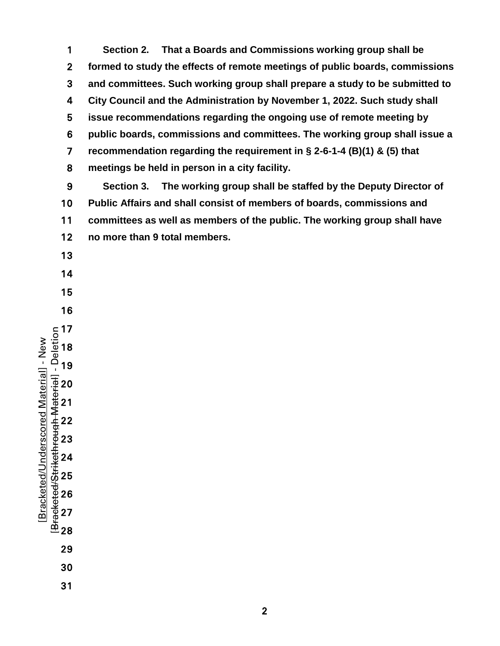**Section 2. That a Boards and Commissions working group shall be formed to study the effects of remote meetings of public boards, commissions and committees. Such working group shall prepare a study to be submitted to City Council and the Administration by November 1, 2022. Such study shall issue recommendations regarding the ongoing use of remote meeting by public boards, commissions and committees. The working group shall issue a recommendation regarding the requirement in § 2-6-1-4 (B)(1) & (5) that meetings be held in person in a city facility.**

**Section 3. The working group shall be staffed by the Deputy Director of Public Affairs and shall consist of members of boards, commissions and committees as well as members of the public. The working group shall have no more than 9 total members.** 

- 
- 
- 
- 

- [Bracketed/Strikethrough Material] Deletion Bracketed/Underscored Material] - New [Bracketed/Underscored Material] - New
	-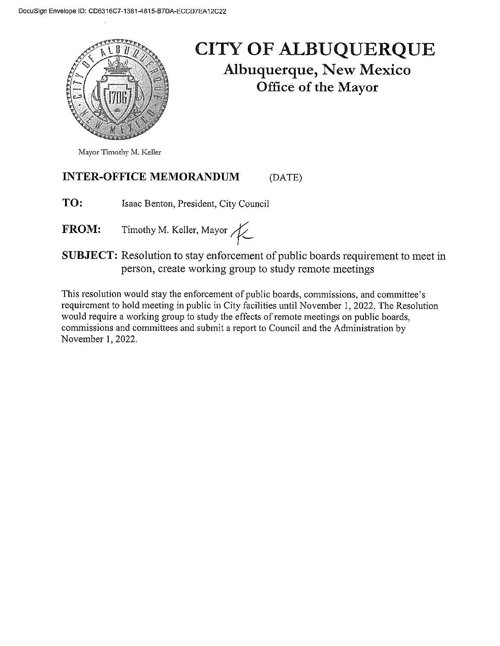

## **CITY OF ALBUQUERQUE Albuquerque, New Mexico** Office of the Mayor

Mayor Timothy M. Keller

#### **INTER-OFFICE MEMORANDUM** (DATE)

TO: Isaac Benton, President, City Council

Timothy M. Keller, Mayor FROM:

**SUBJECT:** Resolution to stay enforcement of public boards requirement to meet in person, create working group to study remote meetings

This resolution would stay the enforcement of public boards, commissions, and committee's requirement to hold meeting in public in City facilities until November 1, 2022. The Resolution would require a working group to study the effects of remote meetings on public boards, commissions and committees and submit a report to Council and the Administration by November 1, 2022.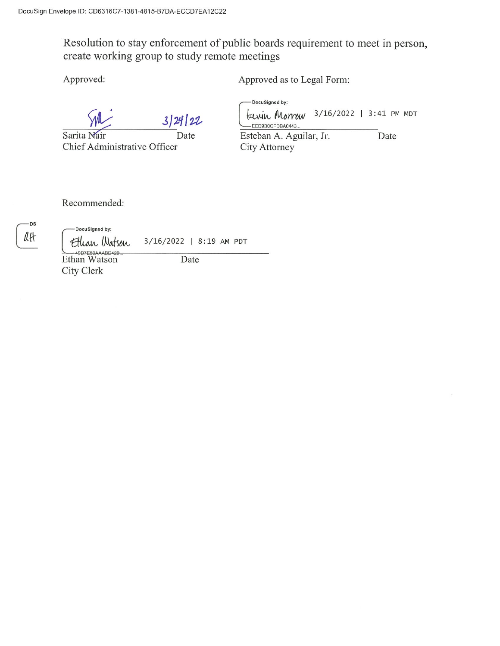Resolution to stay enforcement of public boards requirement to meet in person, create working group to study remote meetings

Approved:

Approved as to Legal Form:

3/24/22

Sarita Nair Date Chief Administrative Officer

-DocuSigned by:

3/16/2022 | 3:41 PM MDT Lewin Morrow -EED9B0CFDBA0443. Esteban A. Aguilar, Jr. Date

City Attorney

Recommended:

-DS att

DocuSigned by: Ethan Watson

3/16/2022 | 8:19 AM PDT Date

49D7E50AAABD429 City Clerk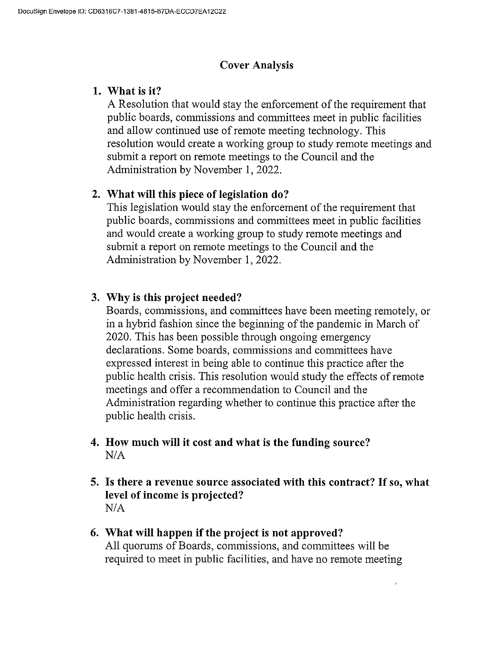#### **Cover Analysis**

#### 1. What is it?

A Resolution that would stay the enforcement of the requirement that public boards, commissions and committees meet in public facilities and allow continued use of remote meeting technology. This resolution would create a working group to study remote meetings and submit a report on remote meetings to the Council and the Administration by November 1, 2022.

### 2. What will this piece of legislation do?

This legislation would stay the enforcement of the requirement that public boards, commissions and committees meet in public facilities and would create a working group to study remote meetings and submit a report on remote meetings to the Council and the Administration by November 1, 2022.

#### 3. Why is this project needed?

Boards, commissions, and committees have been meeting remotely, or in a hybrid fashion since the beginning of the pandemic in March of 2020. This has been possible through ongoing emergency declarations. Some boards, commissions and committees have expressed interest in being able to continue this practice after the public health crisis. This resolution would study the effects of remote meetings and offer a recommendation to Council and the Administration regarding whether to continue this practice after the public health crisis.

- 4. How much will it cost and what is the funding source?  $N/A$
- 5. Is there a revenue source associated with this contract? If so, what level of income is projected?  $N/A$
- 6. What will happen if the project is not approved? All quorums of Boards, commissions, and committees will be required to meet in public facilities, and have no remote meeting